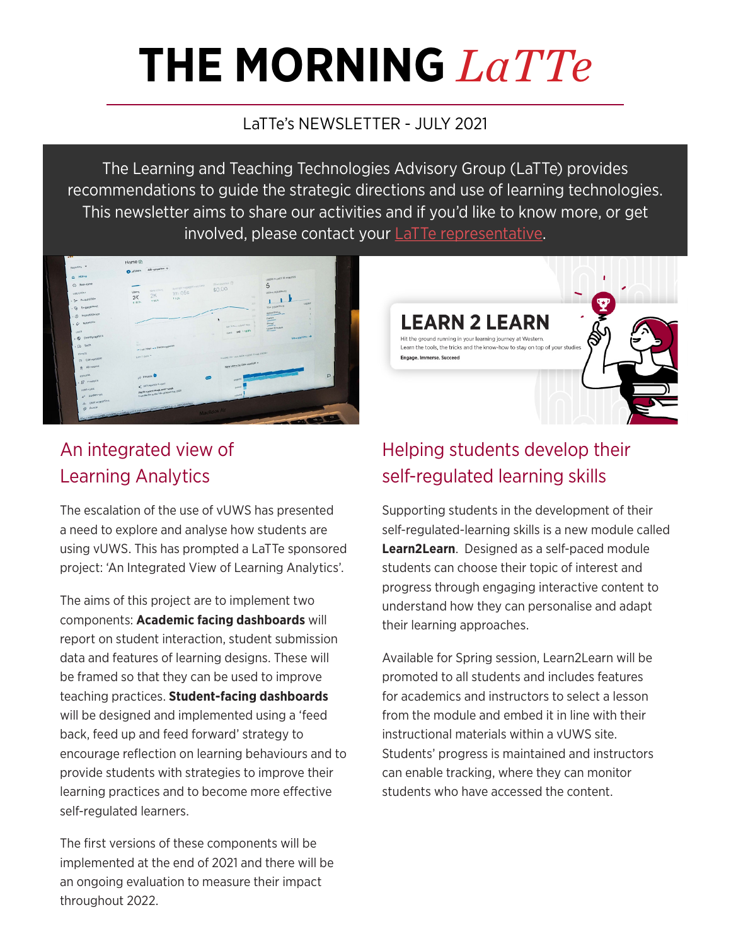# **THE MORNING** *LaTTe*

#### LaTTe's NEWSLETTER - JULY 2021

The Learning and Teaching Technologies Advisory Group (LaTTe) provides recommendations to guide the strategic directions and use of learning technologies. This newsletter aims to share our activities and if you'd like to know more, or get involved, please contact your **LaTTe representative**.



### An integrated view of Learning Analytics

The escalation of the use of vUWS has presented a need to explore and analyse how students are using vUWS. This has prompted a LaTTe sponsored project: 'An Integrated View of Learning Analytics'.

The aims of this project are to implement two components: **Academic facing dashboards** will report on student interaction, student submission data and features of learning designs. These will be framed so that they can be used to improve teaching practices. **Student-facing dashboards** will be designed and implemented using a 'feed back, feed up and feed forward' strategy to encourage reflection on learning behaviours and to provide students with strategies to improve their learning practices and to become more effective self-regulated learners.

The first versions of these components will be implemented at the end of 2021 and there will be an ongoing evaluation to measure their impact throughout 2022.

## Helping students develop their self-regulated learning skills

**LEARN 2 LEARN** Hit the ground running in your learning journey at Western. Learn the tools, the tricks and the know-how to stay on top of your stud

Engage, Immerse, Succeed

Supporting students in the development of their self-regulated-learning skills is a new module called **Learn2Learn**. Designed as a self-paced module students can choose their topic of interest and progress through engaging interactive content to understand how they can personalise and adapt their learning approaches.

Available for Spring session, Learn2Learn will be promoted to all students and includes features for academics and instructors to select a lesson from the module and embed it in line with their instructional materials within a vUWS site. Students' progress is maintained and instructors can enable tracking, where they can monitor students who have accessed the content.